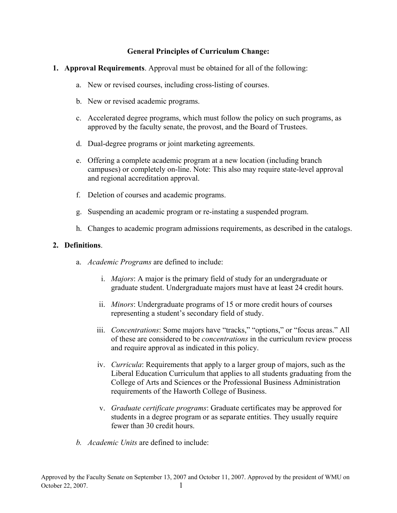## **General Principles of Curriculum Change:**

- **1. Approval Requirements**. Approval must be obtained for all of the following:
	- a. New or revised courses, including cross-listing of courses.
	- b. New or revised academic programs.
	- c. Accelerated degree programs, which must follow the policy on such programs, as approved by the faculty senate, the provost, and the Board of Trustees.
	- d. Dual-degree programs or joint marketing agreements.
	- e. Offering a complete academic program at a new location (including branch campuses) or completely on-line. Note: This also may require state-level approval and regional accreditation approval.
	- f. Deletion of courses and academic programs.
	- g. Suspending an academic program or re-instating a suspended program.
	- h. Changes to academic program admissions requirements, as described in the catalogs.

## **2. Definitions**.

- a. *Academic Programs* are defined to include:
	- i. *Majors*: A major is the primary field of study for an undergraduate or graduate student. Undergraduate majors must have at least 24 credit hours.
	- ii. *Minors*: Undergraduate programs of 15 or more credit hours of courses representing a student's secondary field of study.
	- iii. *Concentrations*: Some majors have "tracks," "options," or "focus areas." All of these are considered to be *concentrations* in the curriculum review process and require approval as indicated in this policy.
	- iv. *Curricula*: Requirements that apply to a larger group of majors, such as the Liberal Education Curriculum that applies to all students graduating from the College of Arts and Sciences or the Professional Business Administration requirements of the Haworth College of Business.
	- v. *Graduate certificate programs*: Graduate certificates may be approved for students in a degree program or as separate entities. They usually require fewer than 30 credit hours.
- *b. Academic Units* are defined to include: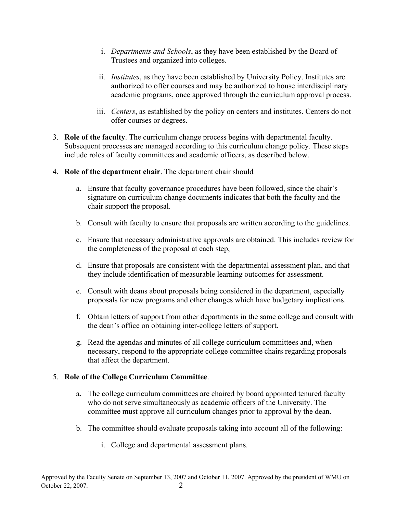- i. *Departments and Schools*, as they have been established by the Board of Trustees and organized into colleges.
- ii. *Institutes*, as they have been established by University Policy. Institutes are authorized to offer courses and may be authorized to house interdisciplinary academic programs, once approved through the curriculum approval process.
- iii. *Centers*, as established by the policy on centers and institutes. Centers do not offer courses or degrees.
- 3. **Role of the faculty**. The curriculum change process begins with departmental faculty. Subsequent processes are managed according to this curriculum change policy. These steps include roles of faculty committees and academic officers, as described below.
- 4. **Role of the department chair**. The department chair should
	- a. Ensure that faculty governance procedures have been followed, since the chair's signature on curriculum change documents indicates that both the faculty and the chair support the proposal.
	- b. Consult with faculty to ensure that proposals are written according to the guidelines.
	- c. Ensure that necessary administrative approvals are obtained. This includes review for the completeness of the proposal at each step,
	- d. Ensure that proposals are consistent with the departmental assessment plan, and that they include identification of measurable learning outcomes for assessment.
	- e. Consult with deans about proposals being considered in the department, especially proposals for new programs and other changes which have budgetary implications.
	- f. Obtain letters of support from other departments in the same college and consult with the dean's office on obtaining inter-college letters of support.
	- g. Read the agendas and minutes of all college curriculum committees and, when necessary, respond to the appropriate college committee chairs regarding proposals that affect the department.

#### 5. **Role of the College Curriculum Committee**.

- a. The college curriculum committees are chaired by board appointed tenured faculty who do not serve simultaneously as academic officers of the University. The committee must approve all curriculum changes prior to approval by the dean.
- b. The committee should evaluate proposals taking into account all of the following:
	- i. College and departmental assessment plans.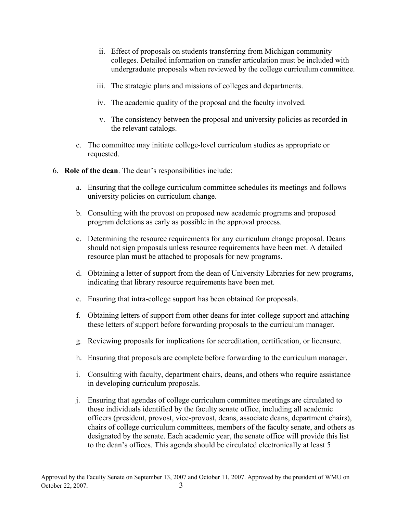- ii. Effect of proposals on students transferring from Michigan community colleges. Detailed information on transfer articulation must be included with undergraduate proposals when reviewed by the college curriculum committee.
- iii. The strategic plans and missions of colleges and departments.
- iv. The academic quality of the proposal and the faculty involved.
- v. The consistency between the proposal and university policies as recorded in the relevant catalogs.
- c. The committee may initiate college-level curriculum studies as appropriate or requested.
- 6. **Role of the dean**. The dean's responsibilities include:
	- a. Ensuring that the college curriculum committee schedules its meetings and follows university policies on curriculum change.
	- b. Consulting with the provost on proposed new academic programs and proposed program deletions as early as possible in the approval process.
	- c. Determining the resource requirements for any curriculum change proposal. Deans should not sign proposals unless resource requirements have been met. A detailed resource plan must be attached to proposals for new programs.
	- d. Obtaining a letter of support from the dean of University Libraries for new programs, indicating that library resource requirements have been met.
	- e. Ensuring that intra-college support has been obtained for proposals.
	- f. Obtaining letters of support from other deans for inter-college support and attaching these letters of support before forwarding proposals to the curriculum manager.
	- g. Reviewing proposals for implications for accreditation, certification, or licensure.
	- h. Ensuring that proposals are complete before forwarding to the curriculum manager.
	- i. Consulting with faculty, department chairs, deans, and others who require assistance in developing curriculum proposals.
	- j. Ensuring that agendas of college curriculum committee meetings are circulated to those individuals identified by the faculty senate office, including all academic officers (president, provost, vice-provost, deans, associate deans, department chairs), chairs of college curriculum committees, members of the faculty senate, and others as designated by the senate. Each academic year, the senate office will provide this list to the dean's offices. This agenda should be circulated electronically at least 5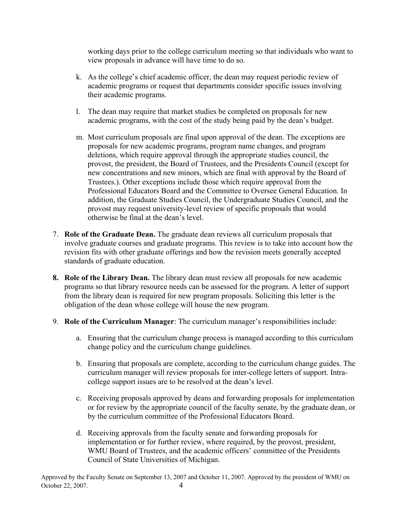working days prior to the college curriculum meeting so that individuals who want to view proposals in advance will have time to do so.

- k. As the college's chief academic officer, the dean may request periodic review of academic programs or request that departments consider specific issues involving their academic programs.
- l. The dean may require that market studies be completed on proposals for new academic programs, with the cost of the study being paid by the dean's budget.
- m. Most curriculum proposals are final upon approval of the dean. The exceptions are proposals for new academic programs, program name changes, and program deletions, which require approval through the appropriate studies council, the provost, the president, the Board of Trustees, and the Presidents Council (except for new concentrations and new minors, which are final with approval by the Board of Trustees.). Other exceptions include those which require approval from the Professional Educators Board and the Committee to Oversee General Education. In addition, the Graduate Studies Council, the Undergraduate Studies Council, and the provost may request university-level review of specific proposals that would otherwise be final at the dean's level.
- 7. **Role of the Graduate Dean.** The graduate dean reviews all curriculum proposals that involve graduate courses and graduate programs. This review is to take into account how the revision fits with other graduate offerings and how the revision meets generally accepted standards of graduate education.
- **8. Role of the Library Dean.** The library dean must review all proposals for new academic programs so that library resource needs can be assessed for the program. A letter of support from the library dean is required for new program proposals. Soliciting this letter is the obligation of the dean whose college will house the new program.
- 9. **Role of the Curriculum Manager**: The curriculum manager's responsibilities include:
	- a. Ensuring that the curriculum change process is managed according to this curriculum change policy and the curriculum change guidelines.
	- b. Ensuring that proposals are complete, according to the curriculum change guides. The curriculum manager will review proposals for inter-college letters of support. Intracollege support issues are to be resolved at the dean's level.
	- c. Receiving proposals approved by deans and forwarding proposals for implementation or for review by the appropriate council of the faculty senate, by the graduate dean, or by the curriculum committee of the Professional Educators Board.
	- d. Receiving approvals from the faculty senate and forwarding proposals for implementation or for further review, where required, by the provost, president, WMU Board of Trustees, and the academic officers' committee of the Presidents Council of State Universities of Michigan.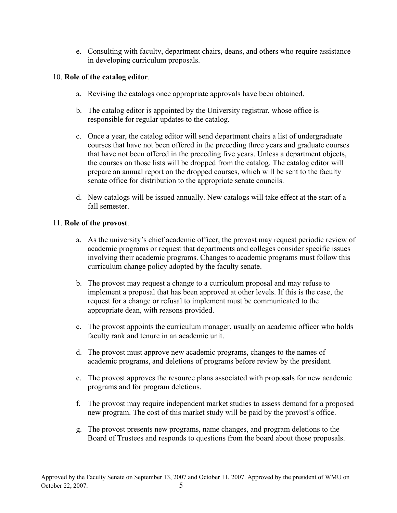e. Consulting with faculty, department chairs, deans, and others who require assistance in developing curriculum proposals.

#### 10. **Role of the catalog editor**.

- a. Revising the catalogs once appropriate approvals have been obtained.
- b. The catalog editor is appointed by the University registrar, whose office is responsible for regular updates to the catalog.
- c. Once a year, the catalog editor will send department chairs a list of undergraduate courses that have not been offered in the preceding three years and graduate courses that have not been offered in the preceding five years. Unless a department objects, the courses on those lists will be dropped from the catalog. The catalog editor will prepare an annual report on the dropped courses, which will be sent to the faculty senate office for distribution to the appropriate senate councils.
- d. New catalogs will be issued annually. New catalogs will take effect at the start of a fall semester.

# 11. **Role of the provost**.

- a. As the university's chief academic officer, the provost may request periodic review of academic programs or request that departments and colleges consider specific issues involving their academic programs. Changes to academic programs must follow this curriculum change policy adopted by the faculty senate.
- b. The provost may request a change to a curriculum proposal and may refuse to implement a proposal that has been approved at other levels. If this is the case, the request for a change or refusal to implement must be communicated to the appropriate dean, with reasons provided.
- c. The provost appoints the curriculum manager, usually an academic officer who holds faculty rank and tenure in an academic unit.
- d. The provost must approve new academic programs, changes to the names of academic programs, and deletions of programs before review by the president.
- e. The provost approves the resource plans associated with proposals for new academic programs and for program deletions.
- f. The provost may require independent market studies to assess demand for a proposed new program. The cost of this market study will be paid by the provost's office.
- g. The provost presents new programs, name changes, and program deletions to the Board of Trustees and responds to questions from the board about those proposals.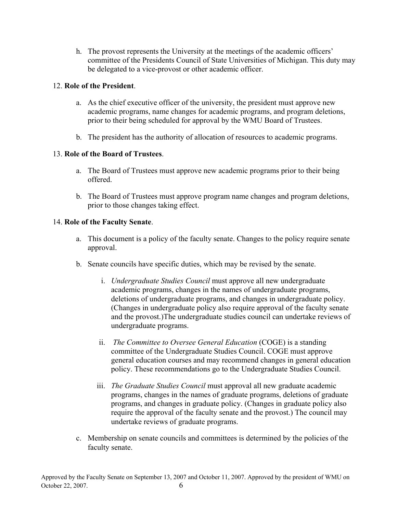h. The provost represents the University at the meetings of the academic officers' committee of the Presidents Council of State Universities of Michigan. This duty may be delegated to a vice-provost or other academic officer.

## 12. **Role of the President**.

- a. As the chief executive officer of the university, the president must approve new academic programs, name changes for academic programs, and program deletions, prior to their being scheduled for approval by the WMU Board of Trustees.
- b. The president has the authority of allocation of resources to academic programs.

## 13. **Role of the Board of Trustees**.

- a. The Board of Trustees must approve new academic programs prior to their being offered.
- b. The Board of Trustees must approve program name changes and program deletions, prior to those changes taking effect.

## 14. **Role of the Faculty Senate**.

- a. This document is a policy of the faculty senate. Changes to the policy require senate approval.
- b. Senate councils have specific duties, which may be revised by the senate.
	- i. *Undergraduate Studies Council* must approve all new undergraduate academic programs, changes in the names of undergraduate programs, deletions of undergraduate programs, and changes in undergraduate policy. (Changes in undergraduate policy also require approval of the faculty senate and the provost.)The undergraduate studies council can undertake reviews of undergraduate programs.
	- ii. *The Committee to Oversee General Education* (COGE) is a standing committee of the Undergraduate Studies Council. COGE must approve general education courses and may recommend changes in general education policy. These recommendations go to the Undergraduate Studies Council.
	- iii. *The Graduate Studies Council* must approval all new graduate academic programs, changes in the names of graduate programs, deletions of graduate programs, and changes in graduate policy. (Changes in graduate policy also require the approval of the faculty senate and the provost.) The council may undertake reviews of graduate programs.
- c. Membership on senate councils and committees is determined by the policies of the faculty senate.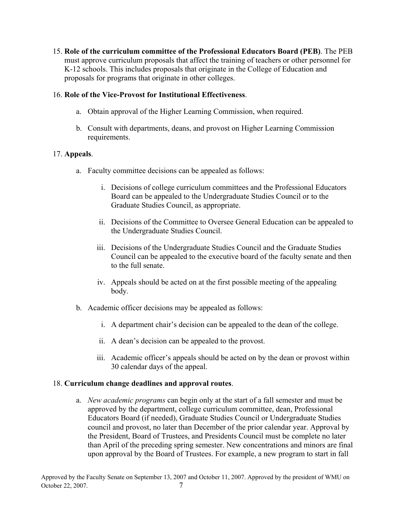15. **Role of the curriculum committee of the Professional Educators Board (PEB)**. The PEB must approve curriculum proposals that affect the training of teachers or other personnel for K-12 schools. This includes proposals that originate in the College of Education and proposals for programs that originate in other colleges.

#### 16. **Role of the Vice-Provost for Institutional Effectiveness**.

- a. Obtain approval of the Higher Learning Commission, when required.
- b. Consult with departments, deans, and provost on Higher Learning Commission requirements.

## 17. **Appeals**.

- a. Faculty committee decisions can be appealed as follows:
	- i. Decisions of college curriculum committees and the Professional Educators Board can be appealed to the Undergraduate Studies Council or to the Graduate Studies Council, as appropriate.
	- ii. Decisions of the Committee to Oversee General Education can be appealed to the Undergraduate Studies Council.
	- iii. Decisions of the Undergraduate Studies Council and the Graduate Studies Council can be appealed to the executive board of the faculty senate and then to the full senate.
	- iv. Appeals should be acted on at the first possible meeting of the appealing body.
- b. Academic officer decisions may be appealed as follows:
	- i. A department chair's decision can be appealed to the dean of the college.
	- ii. A dean's decision can be appealed to the provost.
	- iii. Academic officer's appeals should be acted on by the dean or provost within 30 calendar days of the appeal.

#### 18. **Curriculum change deadlines and approval routes**.

a. *New academic programs* can begin only at the start of a fall semester and must be approved by the department, college curriculum committee, dean, Professional Educators Board (if needed), Graduate Studies Council or Undergraduate Studies council and provost, no later than December of the prior calendar year. Approval by the President, Board of Trustees, and Presidents Council must be complete no later than April of the preceding spring semester. New concentrations and minors are final upon approval by the Board of Trustees. For example, a new program to start in fall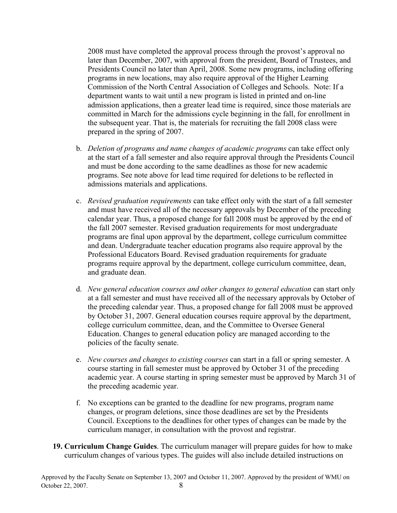2008 must have completed the approval process through the provost's approval no later than December, 2007, with approval from the president, Board of Trustees, and Presidents Council no later than April, 2008. Some new programs, including offering programs in new locations, may also require approval of the Higher Learning Commission of the North Central Association of Colleges and Schools. Note: If a department wants to wait until a new program is listed in printed and on-line admission applications, then a greater lead time is required, since those materials are committed in March for the admissions cycle beginning in the fall, for enrollment in the subsequent year. That is, the materials for recruiting the fall 2008 class were prepared in the spring of 2007.

- b. *Deletion of programs and name changes of academic programs* can take effect only at the start of a fall semester and also require approval through the Presidents Council and must be done according to the same deadlines as those for new academic programs. See note above for lead time required for deletions to be reflected in admissions materials and applications.
- c. *Revised graduation requirements* can take effect only with the start of a fall semester and must have received all of the necessary approvals by December of the preceding calendar year. Thus, a proposed change for fall 2008 must be approved by the end of the fall 2007 semester. Revised graduation requirements for most undergraduate programs are final upon approval by the department, college curriculum committee and dean. Undergraduate teacher education programs also require approval by the Professional Educators Board. Revised graduation requirements for graduate programs require approval by the department, college curriculum committee, dean, and graduate dean.
- d. *New general education courses and other changes to general education* can start only at a fall semester and must have received all of the necessary approvals by October of the preceding calendar year. Thus, a proposed change for fall 2008 must be approved by October 31, 2007. General education courses require approval by the department, college curriculum committee, dean, and the Committee to Oversee General Education. Changes to general education policy are managed according to the policies of the faculty senate.
- e. *New courses and changes to existing courses* can start in a fall or spring semester. A course starting in fall semester must be approved by October 31 of the preceding academic year. A course starting in spring semester must be approved by March 31 of the preceding academic year.
- f. No exceptions can be granted to the deadline for new programs, program name changes, or program deletions, since those deadlines are set by the Presidents Council. Exceptions to the deadlines for other types of changes can be made by the curriculum manager, in consultation with the provost and registrar.
- **19. Curriculum Change Guides**. The curriculum manager will prepare guides for how to make curriculum changes of various types. The guides will also include detailed instructions on